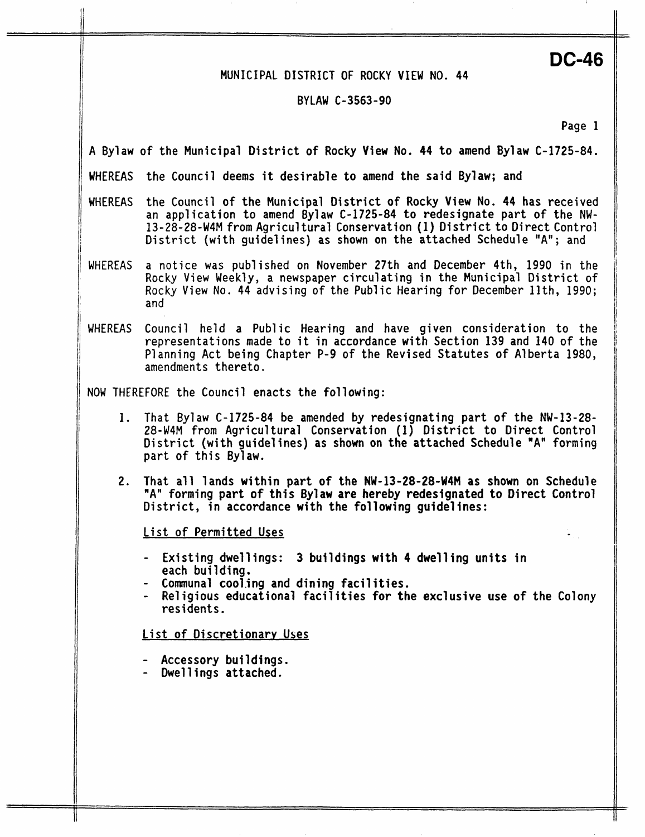#### **MUNICIPAL DISTRICT OF ROCKY VIEW NO. 44**

#### **BY LAW C-3563 -90**

**Page 1** 

**DC-46** 

**A Bylaw of the Municipal District of Rocky View No, 44 to amend Bylaw C-1725-84.** 

**WHEREAS the Council deems it desirable to amend the said Bylaw; and** 

- **WHEREAS the Council of the Municipal District of Rocky View No. 44 has received an application to amend Bylaw C-1725-84 to redesignate part of the NW-13-28-28-W4M from Agricultural Conservation (1) District to Direct Control District (with guidelines) as shown on the attached Schedule "A"; and**
- **WHEREAS a notice was published** on **November 27th and December 4th, 1990 in the Rocky View Weekly, a newspaper circulating in the Municipal District of Rocky View** No. **44 advising of the Public Hearing for December llth, 1990; and**
- **WHEREAS** Council **held a Public Hearing and have given consideration to the representations made to it in accordance with Section 139 and 140 of the Planning Act being Chapter P-9** of **the Revised Statutes of Alberta 1980, amendments thereto.**

**NOW THEREFORE the Council enacts the following:** 

- 1. **That Bylaw C-1725-84 be amended by redesignating part of the NW-13-28- 28-W4M from Agricultural Conservation (1) District to Direct Control District (with guidelines) as shown on the attached Schedule "A" forming part** of **this Bylaw.**
- **2. That all lands within part** *of* **the NW-13-28-28-W4M as shown on Schedule "A" forming part of this Bylaw are hereby redesignated to Direct Control District, in accordance with the following guidelines:**

**List of Permitted Uses** 

- **Existing dwellings: 3 buildings with 4 dwelling units in each building.**
- **Communal cooling and dining facilities.**
- **Religious educational facilities for the exclusive use of the Colony residents.**

**List of Discretionary Uses** 

- **Accessory buildings.**
- **Dwellings attached.**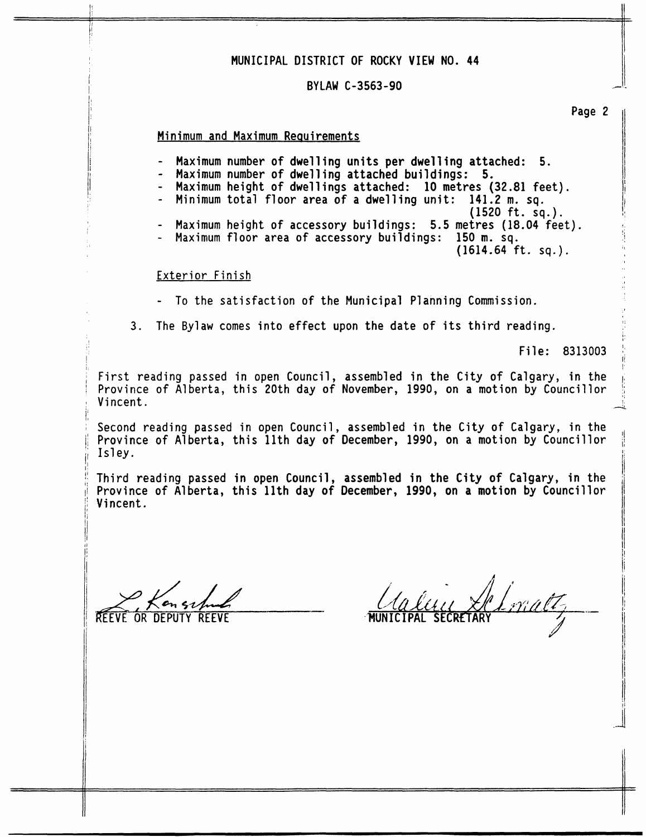## **MUNICIPAL DISTRICT OF ROCKY VIEW NO. 44**

### **BYLAW C-3563-90**

# **Minimum and Maximum Reauirements**

- **Maximum number of dwelling units per dwelling attached: 5.**
- **Maximum number of dwelling attached buildings: 5.**
- **Maximum height of dwellings attached: 10 metres (32.81 feet).**
- **Minimum total floor area** of **a dwelling unit: 141.2 m. sq.**
- **(1520 ft. sq.).**  - Maximum height of accessory buildings: 5.5 metres (18.04 feet).
- Maximum floor area of accessory buildings: 150 m. sq.
	- **(1614.64 ft. sq.).** <sup>I</sup>

# **Exterior** Finish

- To **the satisfaction of the Municipal Planning Commission.**
- **3.** The Bylaw comes into effect upon the date of its third reading.  $\qquad \qquad \frac{1}{2}$

**File: 8313003** 1:

First reading passed in open Council, assembled in the City of Calgary, in the ! **Province** of **Alberta, this 20th day of November, 1990, on a motion by Councillor** 'I <sup>I</sup>**Vincent.** 4

'I I **Second reading passed in open Council, assembled in the City of Calgary, in the**  1; **Province** of **Alberta, this 11th day** of **December, 1990, on a motion by Councillor** ,; j( **Isley.** *is* 

 $\begin{bmatrix} 1 \\ 2 \end{bmatrix}$ jl **Third reading passed in open Council, assembled in the City of Calgary, in the**  ~i **Province** of **Alberta, this 11th day of December, 1990, on a motion by Councillor** 1: **Vincent.** 

**REEVE OR DEPUT** 

I:

[I it

**Page 2** 

I

**<sup>I</sup>'** 

I! !